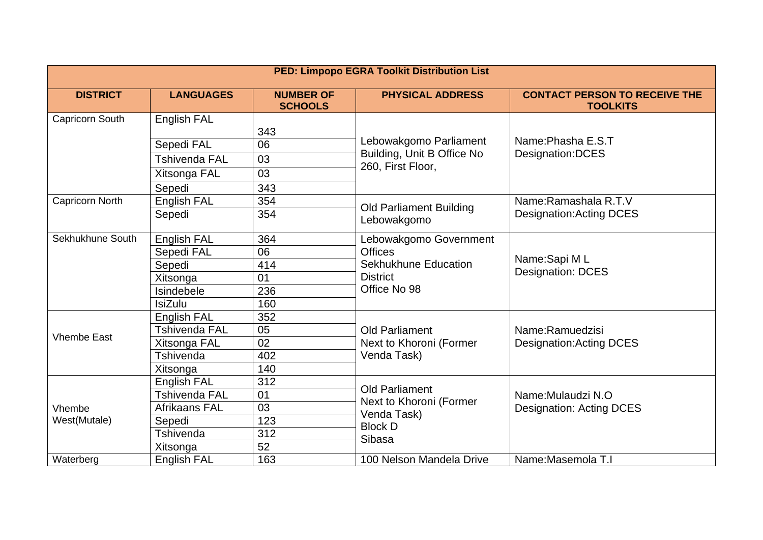| <b>PED: Limpopo EGRA Toolkit Distribution List</b> |                      |                                    |                                                                                                     |                                                         |  |  |  |
|----------------------------------------------------|----------------------|------------------------------------|-----------------------------------------------------------------------------------------------------|---------------------------------------------------------|--|--|--|
| <b>DISTRICT</b>                                    | <b>LANGUAGES</b>     | <b>NUMBER OF</b><br><b>SCHOOLS</b> | <b>PHYSICAL ADDRESS</b>                                                                             | <b>CONTACT PERSON TO RECEIVE THE</b><br><b>TOOLKITS</b> |  |  |  |
| Capricorn South                                    | English FAL          |                                    |                                                                                                     |                                                         |  |  |  |
|                                                    |                      | 343                                | Lebowakgomo Parliament<br>Building, Unit B Office No<br>260, First Floor,                           | Name: Phasha E.S.T<br>Designation: DCES                 |  |  |  |
|                                                    | Sepedi FAL           | 06                                 |                                                                                                     |                                                         |  |  |  |
|                                                    | <b>Tshivenda FAL</b> | 03                                 |                                                                                                     |                                                         |  |  |  |
|                                                    | Xitsonga FAL         | 03                                 |                                                                                                     |                                                         |  |  |  |
|                                                    | Sepedi               | 343                                |                                                                                                     |                                                         |  |  |  |
| Capricorn North                                    | English FAL          | 354                                | <b>Old Parliament Building</b><br>Lebowakgomo                                                       | Name: Ramashala R.T.V<br>Designation: Acting DCES       |  |  |  |
|                                                    | Sepedi               | 354                                |                                                                                                     |                                                         |  |  |  |
| Sekhukhune South                                   | English FAL          | 364                                | Lebowakgomo Government<br><b>Offices</b><br>Sekhukhune Education<br><b>District</b><br>Office No 98 |                                                         |  |  |  |
|                                                    | Sepedi FAL           | 06                                 |                                                                                                     | Name:Sapi ML<br><b>Designation: DCES</b>                |  |  |  |
|                                                    | Sepedi               | 414                                |                                                                                                     |                                                         |  |  |  |
|                                                    | Xitsonga             | 01                                 |                                                                                                     |                                                         |  |  |  |
|                                                    | Isindebele           | 236                                |                                                                                                     |                                                         |  |  |  |
|                                                    | <b>IsiZulu</b>       | 160                                |                                                                                                     |                                                         |  |  |  |
| <b>Vhembe East</b>                                 | English FAL          | 352                                | <b>Old Parliament</b><br>Next to Khoroni (Former<br>Venda Task)                                     | Name:Ramuedzisi<br><b>Designation: Acting DCES</b>      |  |  |  |
|                                                    | <b>Tshivenda FAL</b> | 05                                 |                                                                                                     |                                                         |  |  |  |
|                                                    | Xitsonga FAL         | 02                                 |                                                                                                     |                                                         |  |  |  |
|                                                    | Tshivenda            | 402                                |                                                                                                     |                                                         |  |  |  |
|                                                    | Xitsonga             | 140                                |                                                                                                     |                                                         |  |  |  |
| Vhembe<br>West(Mutale)                             | English FAL          | 312                                | <b>Old Parliament</b><br>Next to Khoroni (Former<br>Venda Task)<br><b>Block D</b><br>Sibasa         | Name: Mulaudzi N.O<br>Designation: Acting DCES          |  |  |  |
|                                                    | <b>Tshivenda FAL</b> | 01                                 |                                                                                                     |                                                         |  |  |  |
|                                                    | Afrikaans FAL        | 03                                 |                                                                                                     |                                                         |  |  |  |
|                                                    | Sepedi               | 123                                |                                                                                                     |                                                         |  |  |  |
|                                                    | Tshivenda            | 312                                |                                                                                                     |                                                         |  |  |  |
|                                                    | Xitsonga             | 52                                 |                                                                                                     |                                                         |  |  |  |
| Waterberg                                          | <b>English FAL</b>   | 163                                | 100 Nelson Mandela Drive                                                                            | Name: Masemola T.I                                      |  |  |  |